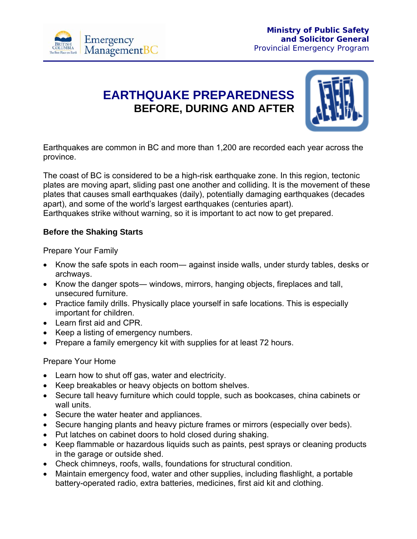

# **EARTHQUAKE PREPAREDNESS BEFORE, DURING AND AFTER**



Earthquakes are common in BC and more than 1,200 are recorded each year across the province.

The coast of BC is considered to be a high-risk earthquake zone. In this region, tectonic plates are moving apart, sliding past one another and colliding. It is the movement of these plates that causes small earthquakes (daily), potentially damaging earthquakes (decades apart), and some of the world's largest earthquakes (centuries apart). Earthquakes strike without warning, so it is important to act now to get prepared.

### **Before the Shaking Starts**

Prepare Your Family

- Know the safe spots in each room— against inside walls, under sturdy tables, desks or archways.
- Know the danger spots― windows, mirrors, hanging objects, fireplaces and tall, unsecured furniture.
- Practice family drills. Physically place yourself in safe locations. This is especially important for children.
- Learn first aid and CPR.
- Keep a listing of emergency numbers.
- Prepare a family emergency kit with supplies for at least 72 hours.

#### Prepare Your Home

- Learn how to shut off gas, water and electricity.
- Keep breakables or heavy objects on bottom shelves.
- Secure tall heavy furniture which could topple, such as bookcases, china cabinets or wall units.
- Secure the water heater and appliances.
- Secure hanging plants and heavy picture frames or mirrors (especially over beds).
- Put latches on cabinet doors to hold closed during shaking.
- Keep flammable or hazardous liquids such as paints, pest sprays or cleaning products in the garage or outside shed.
- Check chimneys, roofs, walls, foundations for structural condition.
- Maintain emergency food, water and other supplies, including flashlight, a portable battery-operated radio, extra batteries, medicines, first aid kit and clothing.